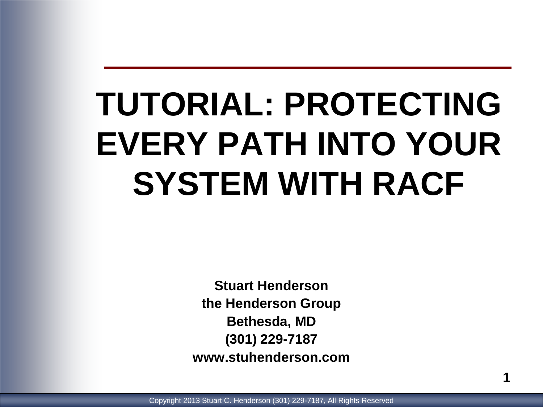# **TUTORIAL: PROTECTING EVERY PATH INTO YOUR SYSTEM WITH RACF**

**Stuart Henderson the Henderson Group Bethesda, MD (301) 229-7187 www.stuhenderson.com**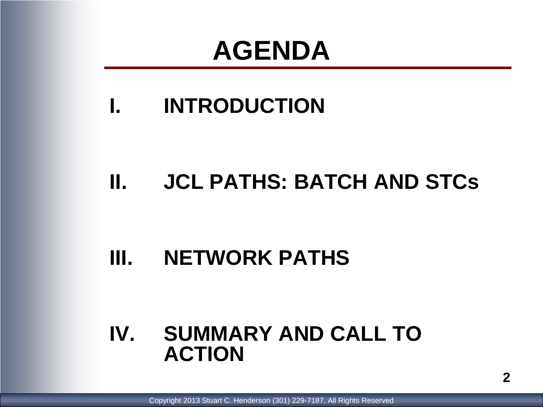### **AGENDA**

#### **I. INTRODUCTION**

#### **II. JCL PATHS: BATCH AND STCs**

#### **III. NETWORK PATHS**

#### **IV. SUMMARY AND CALL TO ACTION**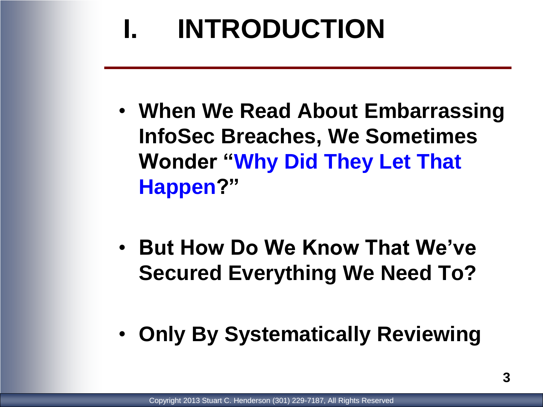- **When We Read About Embarrassing InfoSec Breaches, We Sometimes Wonder "Why Did They Let That Happen?"**
- **But How Do We Know That We've Secured Everything We Need To?**
- **Only By Systematically Reviewing**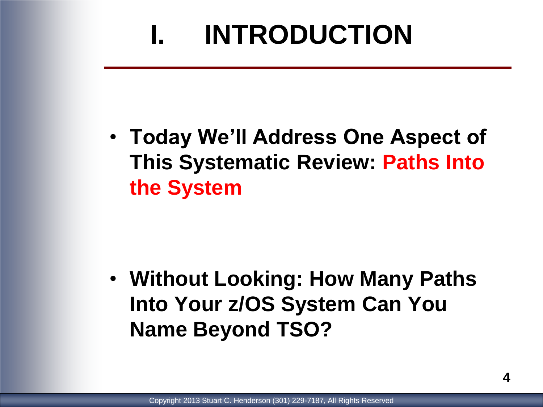• **Today We'll Address One Aspect of This Systematic Review: Paths Into the System**

• **Without Looking: How Many Paths Into Your z/OS System Can You Name Beyond TSO?**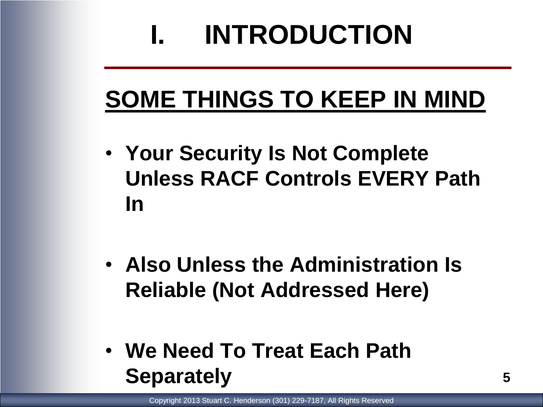### **SOME THINGS TO KEEP IN MIND**

- **Your Security Is Not Complete Unless RACF Controls EVERY Path In**
- **Also Unless the Administration Is Reliable (Not Addressed Here)**
- **We Need To Treat Each Path Separately**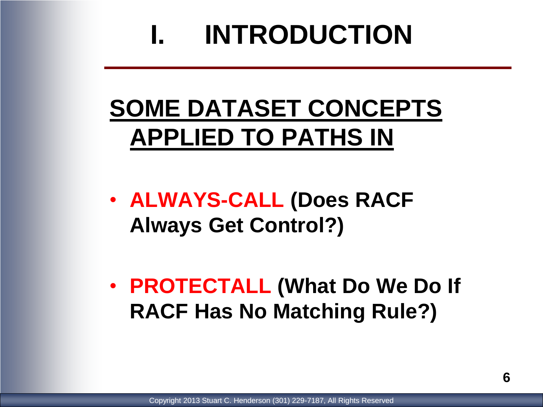### **SOME DATASET CONCEPTS APPLIED TO PATHS IN**

• **ALWAYS-CALL (Does RACF Always Get Control?)**

• **PROTECTALL (What Do We Do If RACF Has No Matching Rule?)**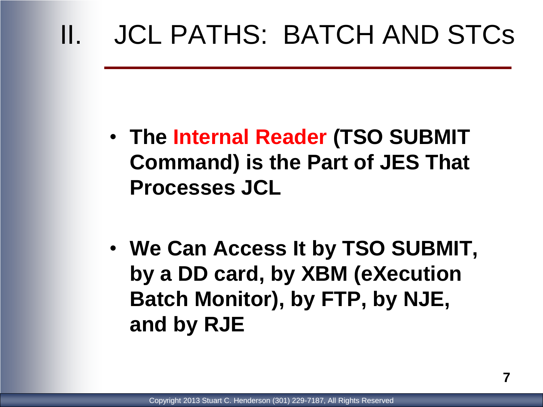- **The Internal Reader (TSO SUBMIT Command) is the Part of JES That Processes JCL**
- **We Can Access It by TSO SUBMIT, by a DD card, by XBM (eXecution Batch Monitor), by FTP, by NJE, and by RJE**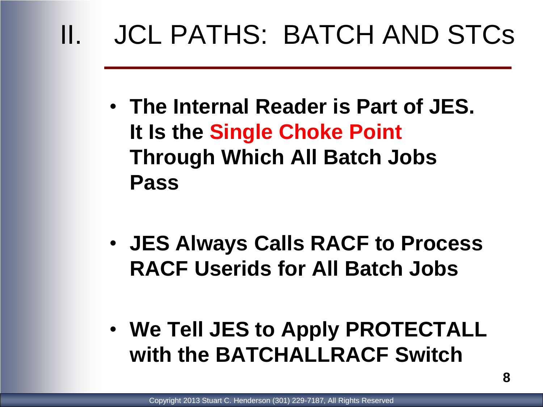- **The Internal Reader is Part of JES. It Is the Single Choke Point Through Which All Batch Jobs Pass**
- **JES Always Calls RACF to Process RACF Userids for All Batch Jobs**
- **We Tell JES to Apply PROTECTALL with the BATCHALLRACF Switch**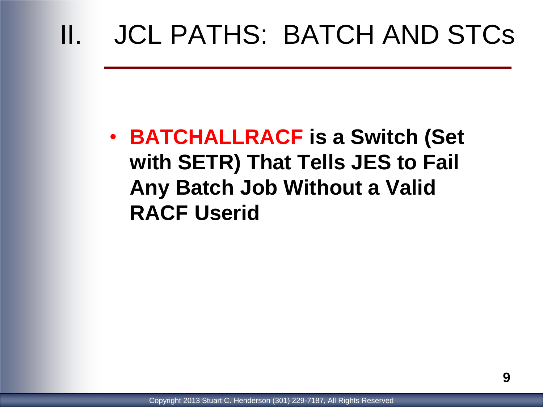• **BATCHALLRACF is a Switch (Set with SETR) That Tells JES to Fail Any Batch Job Without a Valid RACF Userid**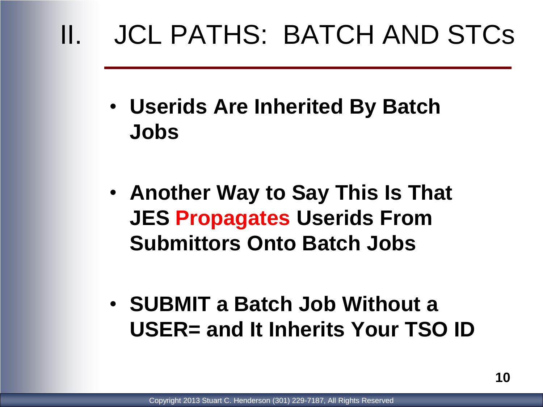- **Userids Are Inherited By Batch Jobs**
- **Another Way to Say This Is That JES Propagates Userids From Submittors Onto Batch Jobs**
- **SUBMIT a Batch Job Without a USER= and It Inherits Your TSO ID**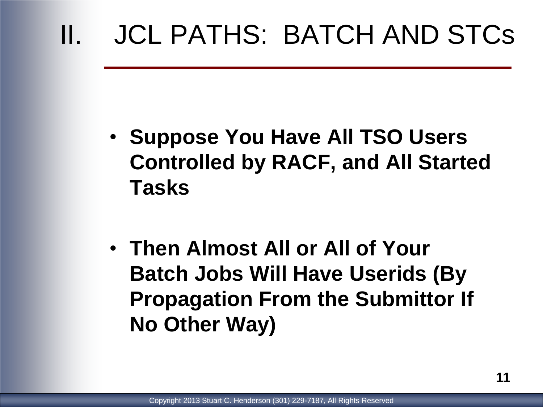- **Suppose You Have All TSO Users Controlled by RACF, and All Started Tasks**
- **Then Almost All or All of Your Batch Jobs Will Have Userids (By Propagation From the Submittor If No Other Way)**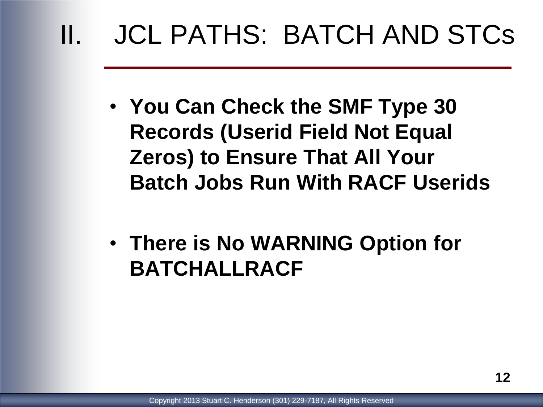- **You Can Check the SMF Type 30 Records (Userid Field Not Equal Zeros) to Ensure That All Your Batch Jobs Run With RACF Userids**
- **There is No WARNING Option for BATCHALLRACF**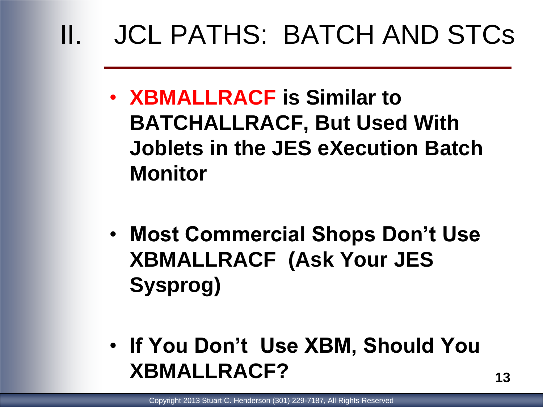- **XBMALLRACF is Similar to BATCHALLRACF, But Used With Joblets in the JES eXecution Batch Monitor**
- **Most Commercial Shops Don't Use XBMALLRACF (Ask Your JES Sysprog)**
- **If You Don't Use XBM, Should You XBMALLRACF?**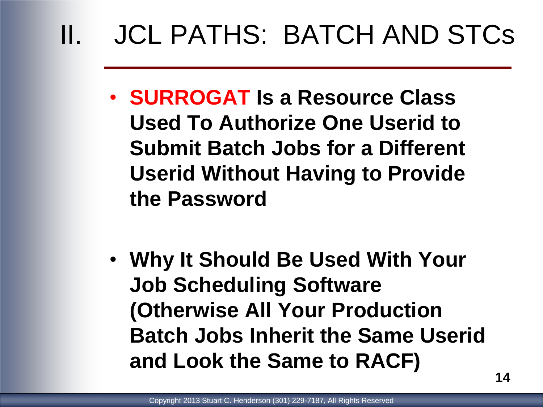- **SURROGAT Is a Resource Class Used To Authorize One Userid to Submit Batch Jobs for a Different Userid Without Having to Provide the Password**
- **Why It Should Be Used With Your Job Scheduling Software (Otherwise All Your Production Batch Jobs Inherit the Same Userid and Look the Same to RACF)**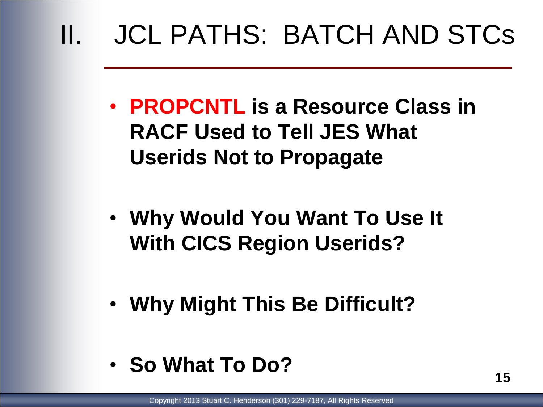- **PROPCNTL is a Resource Class in RACF Used to Tell JES What Userids Not to Propagate**
- **Why Would You Want To Use It With CICS Region Userids?**
- **Why Might This Be Difficult?**
- **So What To Do?**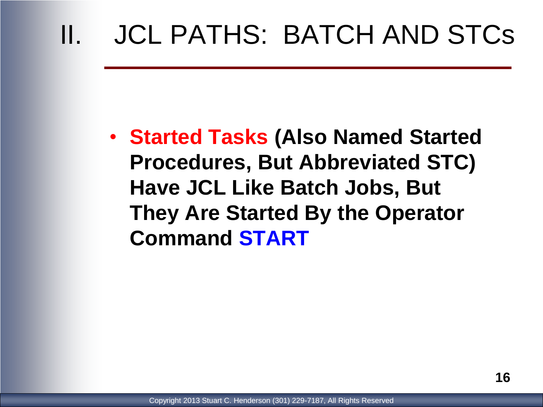• **Started Tasks (Also Named Started Procedures, But Abbreviated STC) Have JCL Like Batch Jobs, But They Are Started By the Operator Command START**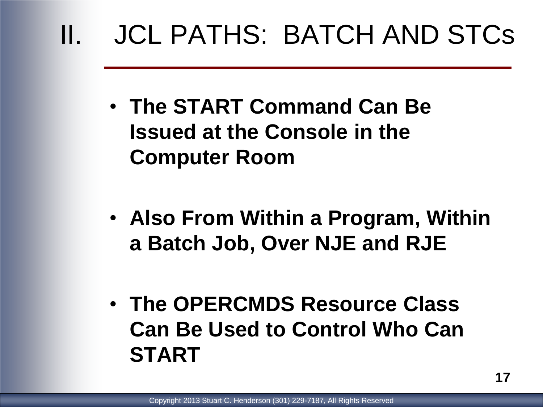- **The START Command Can Be Issued at the Console in the Computer Room**
- **Also From Within a Program, Within a Batch Job, Over NJE and RJE**
- **The OPERCMDS Resource Class Can Be Used to Control Who Can START**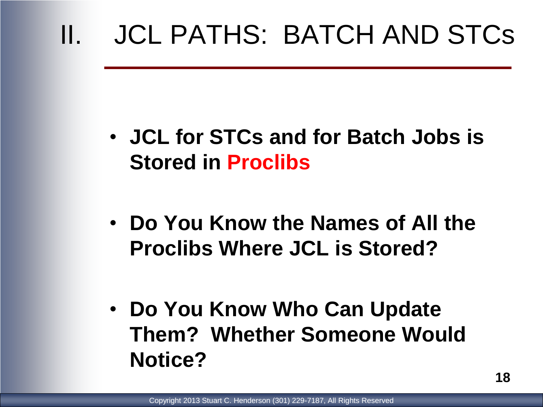- **JCL for STCs and for Batch Jobs is Stored in Proclibs**
- **Do You Know the Names of All the Proclibs Where JCL is Stored?**
- **Do You Know Who Can Update Them? Whether Someone Would Notice?**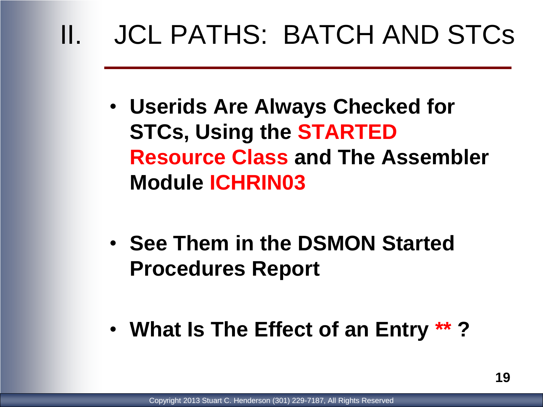- **Userids Are Always Checked for STCs, Using the STARTED Resource Class and The Assembler Module ICHRIN03**
- **See Them in the DSMON Started Procedures Report**
- **What Is The Effect of an Entry \*\* ?**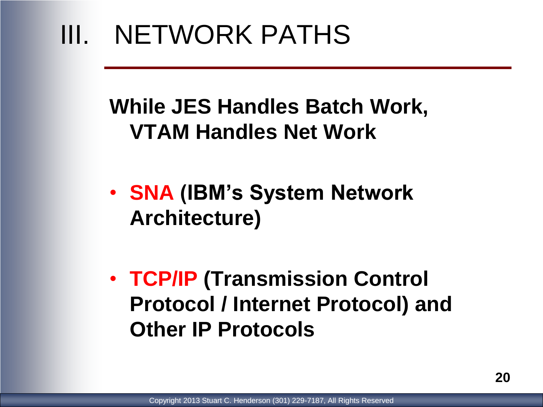#### **While JES Handles Batch Work, VTAM Handles Net Work**

- **SNA (IBM's System Network Architecture)**
- **TCP/IP (Transmission Control Protocol / Internet Protocol) and Other IP Protocols**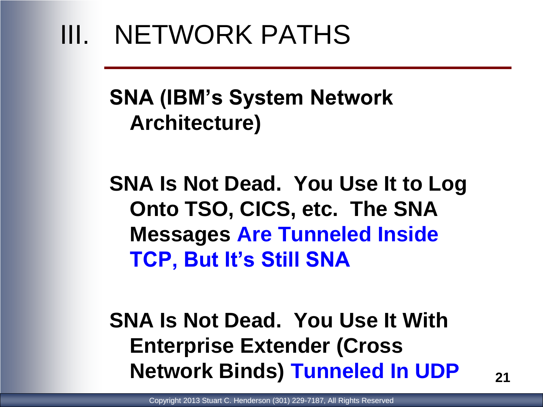#### **SNA (IBM's System Network Architecture)**

**SNA Is Not Dead. You Use It to Log Onto TSO, CICS, etc. The SNA Messages Are Tunneled Inside TCP, But It's Still SNA**

**SNA Is Not Dead. You Use It With Enterprise Extender (Cross Network Binds) Tunneled In UDP**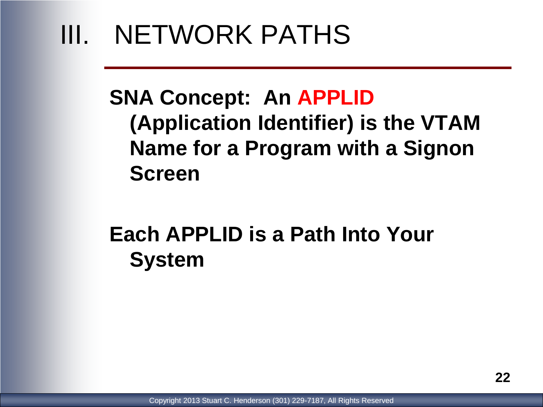#### **SNA Concept: An APPLID (Application Identifier) is the VTAM Name for a Program with a Signon Screen**

#### **Each APPLID is a Path Into Your System**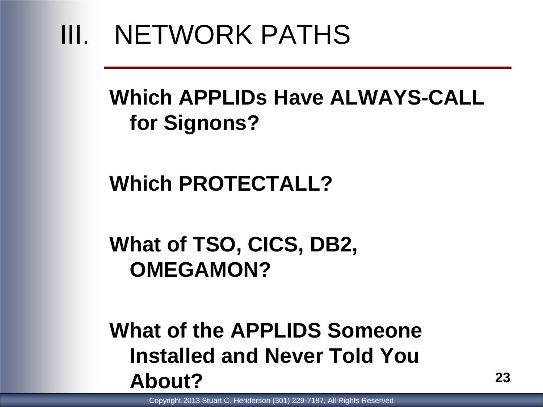#### **Which APPLIDs Have ALWAYS-CALL for Signons?**

#### **Which PROTECTALL?**

#### **What of TSO, CICS, DB2, OMEGAMON?**

#### **What of the APPLIDS Someone Installed and Never Told You About?**

Copyright 2013 Stuart C. Henderson (301) 229-7187, All Rights Reserved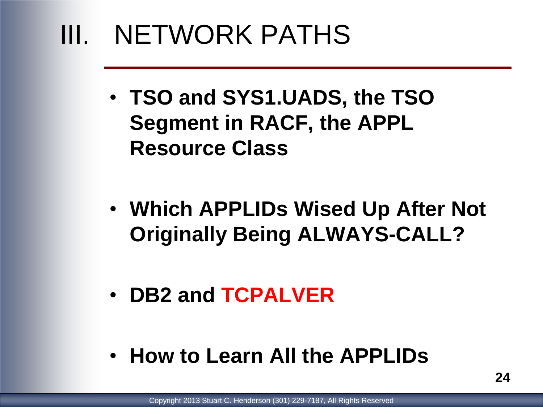- **TSO and SYS1.UADS, the TSO Segment in RACF, the APPL Resource Class**
- **Which APPLIDs Wised Up After Not Originally Being ALWAYS-CALL?**
- **DB2 and TCPALVER**
- **How to Learn All the APPLIDs**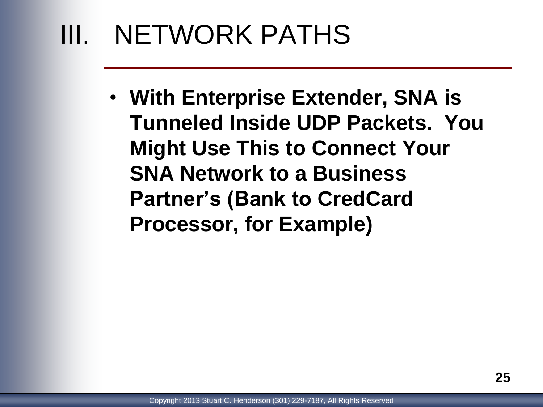• **With Enterprise Extender, SNA is Tunneled Inside UDP Packets. You Might Use This to Connect Your SNA Network to a Business Partner's (Bank to CredCard Processor, for Example)**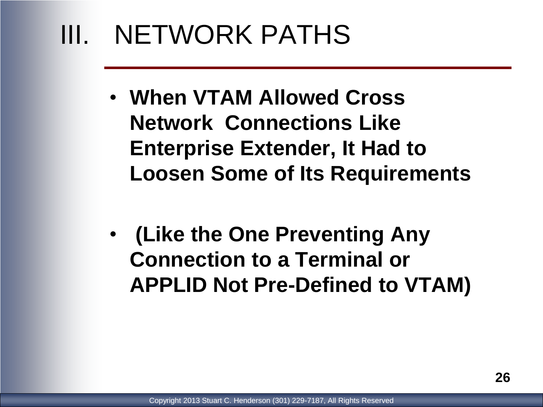- **When VTAM Allowed Cross Network Connections Like Enterprise Extender, It Had to Loosen Some of Its Requirements**
- **(Like the One Preventing Any Connection to a Terminal or APPLID Not Pre-Defined to VTAM)**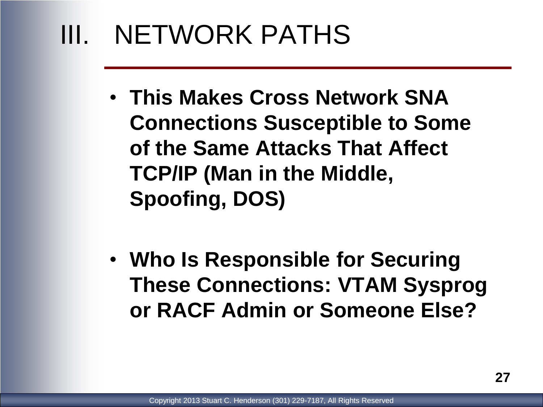- **This Makes Cross Network SNA Connections Susceptible to Some of the Same Attacks That Affect TCP/IP (Man in the Middle, Spoofing, DOS)**
- **Who Is Responsible for Securing These Connections: VTAM Sysprog or RACF Admin or Someone Else?**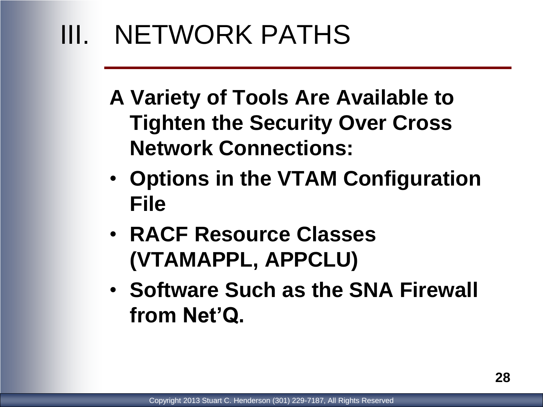- **A Variety of Tools Are Available to Tighten the Security Over Cross Network Connections:**
- **Options in the VTAM Configuration File**
- **RACF Resource Classes (VTAMAPPL, APPCLU)**
- **Software Such as the SNA Firewall from Net'Q.**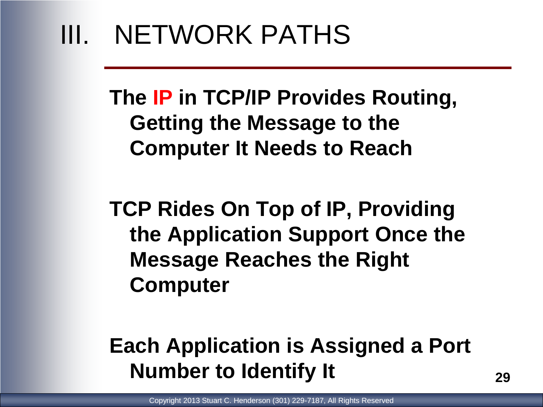**The IP in TCP/IP Provides Routing, Getting the Message to the Computer It Needs to Reach**

**TCP Rides On Top of IP, Providing the Application Support Once the Message Reaches the Right Computer**

#### **Each Application is Assigned a Port Number to Identify It**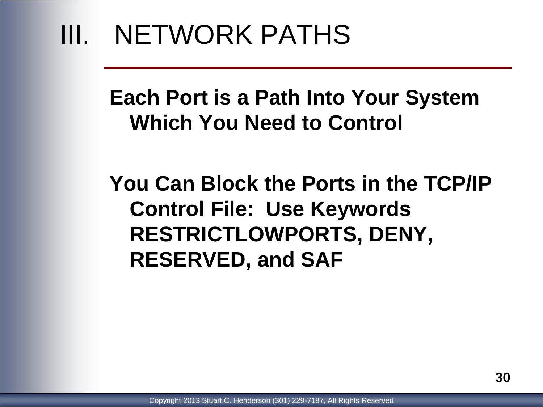#### **Each Port is a Path Into Your System Which You Need to Control**

**You Can Block the Ports in the TCP/IP Control File: Use Keywords RESTRICTLOWPORTS, DENY, RESERVED, and SAF**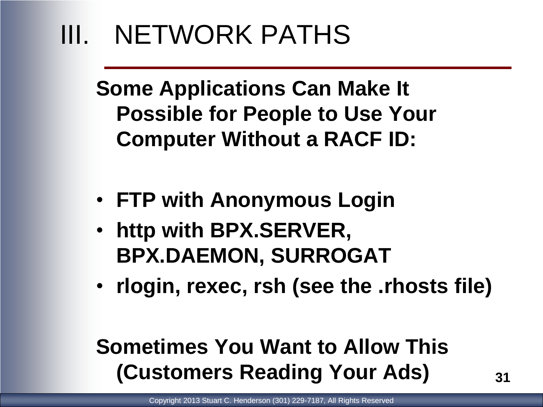**Some Applications Can Make It Possible for People to Use Your Computer Without a RACF ID:**

- **FTP with Anonymous Login**
- **http with BPX.SERVER, BPX.DAEMON, SURROGAT**
- **rlogin, rexec, rsh (see the .rhosts file)**

#### **Sometimes You Want to Allow This (Customers Reading Your Ads)**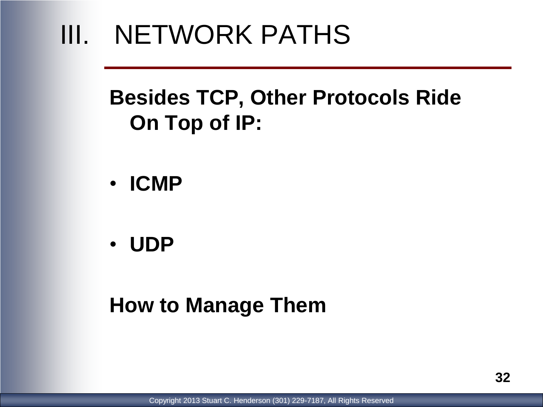#### **Besides TCP, Other Protocols Ride On Top of IP:**

- **ICMP**
- **UDP**

#### **How to Manage Them**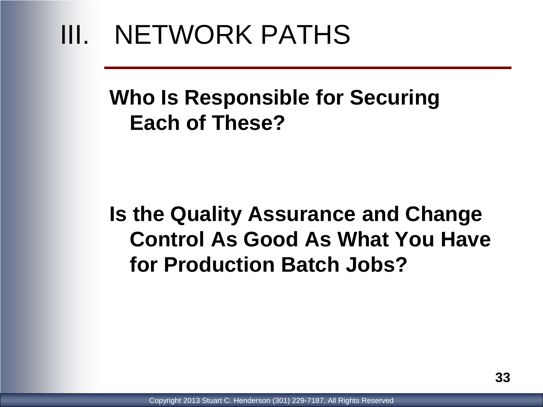#### **Who Is Responsible for Securing Each of These?**

#### **Is the Quality Assurance and Change Control As Good As What You Have for Production Batch Jobs?**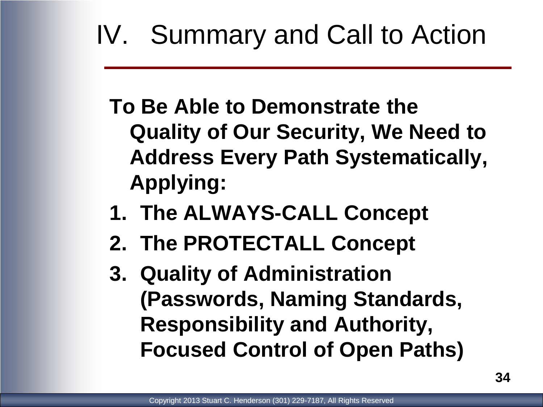**To Be Able to Demonstrate the Quality of Our Security, We Need to Address Every Path Systematically, Applying:**

- **1. The ALWAYS-CALL Concept**
- **2. The PROTECTALL Concept**
- **3. Quality of Administration (Passwords, Naming Standards, Responsibility and Authority, Focused Control of Open Paths)**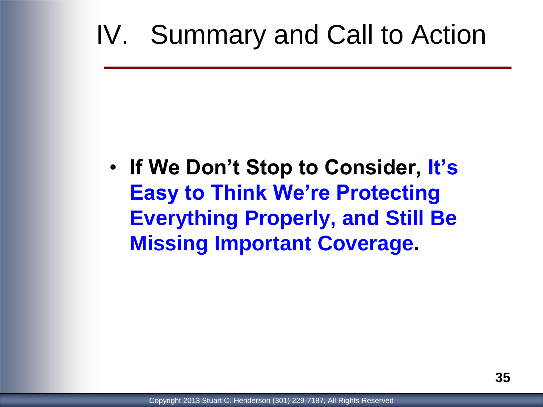• **If We Don't Stop to Consider, It's Easy to Think We're Protecting Everything Properly, and Still Be Missing Important Coverage.**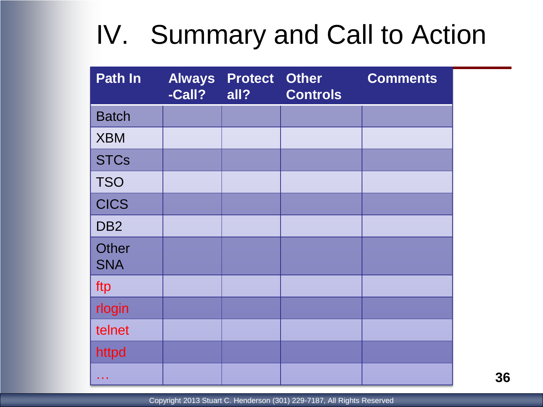| <b>Path In</b>             | <b>Always</b><br>-Call? | <b>Protect</b><br>all? | <b>Other</b><br><b>Controls</b> | <b>Comments</b> |
|----------------------------|-------------------------|------------------------|---------------------------------|-----------------|
| <b>Batch</b>               |                         |                        |                                 |                 |
| <b>XBM</b>                 |                         |                        |                                 |                 |
| <b>STCs</b>                |                         |                        |                                 |                 |
| <b>TSO</b>                 |                         |                        |                                 |                 |
| <b>CICS</b>                |                         |                        |                                 |                 |
| DB <sub>2</sub>            |                         |                        |                                 |                 |
| <b>Other</b><br><b>SNA</b> |                         |                        |                                 |                 |
| ftp                        |                         |                        |                                 |                 |
| rlogin                     |                         |                        |                                 |                 |
| telnet                     |                         |                        |                                 |                 |
| httpd                      |                         |                        |                                 |                 |
|                            |                         |                        |                                 |                 |

Copyright 2013 Stuart C. Henderson (301) 229-7187, All Rights Reserved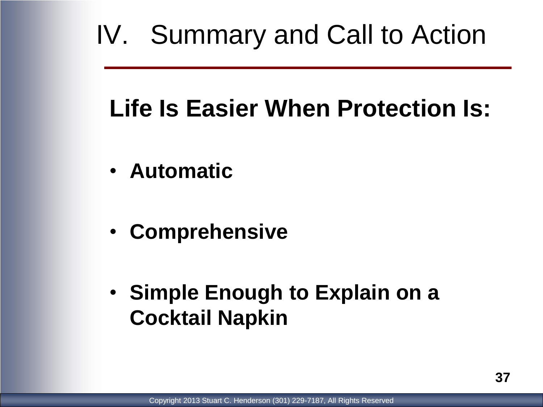### **Life Is Easier When Protection Is:**

- **Automatic**
- **Comprehensive**
- **Simple Enough to Explain on a Cocktail Napkin**